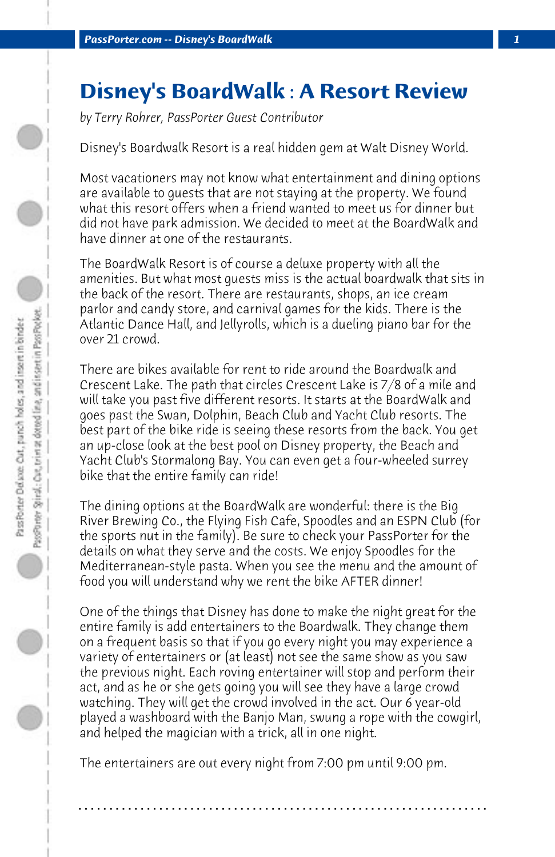## **Disney's BoardWalk : A Resort Review**

*by Terry Rohrer, PassPorter Guest Contributor*

Disney's Boardwalk Resort is a real hidden gem at Walt Disney World.

Most vacationers may not know what entertainment and dining options are available to guests that are not staying at the property. We found what this resort offers when a friend wanted to meet us for dinner but did not have park admission. We decided to meet at the BoardWalk and have dinner at one of the restaurants.

The BoardWalk Resort is of course a deluxe property with all the amenities. But what most guests miss is the actual boardwalk that sits in the back of the resort. There are restaurants, shops, an ice cream parlor and candy store, and carnival games for the kids. There is the Atlantic Dance Hall, and Jellyrolls, which is a dueling piano bar for the over 21 crowd.

There are bikes available for rent to ride around the Boardwalk and Crescent Lake. The path that circles Crescent Lake is 7/8 of a mile and will take you past five different resorts. It starts at the BoardWalk and goes past the Swan, Dolphin, Beach Club and Yacht Club resorts. The best part of the bike ride is seeing these resorts from the back. You get an up-close look at the best pool on Disney property, the Beach and Yacht Club's Stormalong Bay. You can even get a four-wheeled surrey bike that the entire family can ride!

The dining options at the BoardWalk are wonderful: there is the Big River Brewing Co., the Flying Fish Cafe, Spoodles and an ESPN Club (for the sports nut in the family). Be sure to check your PassPorter for the details on what they serve and the costs. We enjoy Spoodles for the Mediterranean-style pasta. When you see the menu and the amount of food you will understand why we rent the bike AFTER dinner!

One of the things that Disney has done to make the night great for the entire family is add entertainers to the Boardwalk. They change them on a frequent basis so that if you go every night you may experience a variety of entertainers or (at least) not see the same show as you saw the previous night. Each roving entertainer will stop and perform their act, and as he or she gets going you will see they have a large crowd watching. They will get the crowd involved in the act. Our 6 year-old played a washboard with the Banjo Man, swung a rope with the cowgirl, and helped the magician with a trick, all in one night.

The entertainers are out every night from 7:00 pm until 9:00 pm.

**. . . . . . . . . . . . . . . . . . . . . . . . . . . . . . . . . . . . . . . . . . . . . . . . . . . . . . . . . . . . . . . . . .**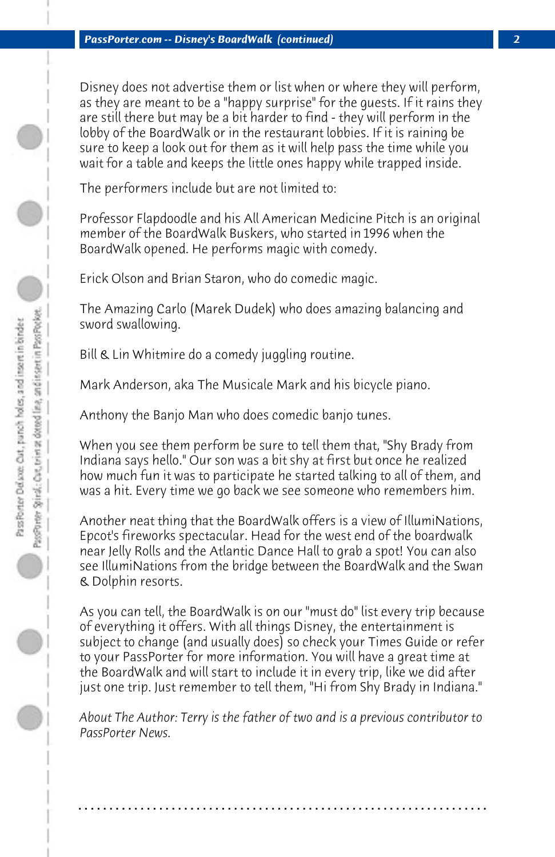Disney does not advertise them or list when or where they will perform, as they are meant to be a "happy surprise" for the guests. If it rains they are still there but may be a bit harder to find - they will perform in the lobby of the BoardWalk or in the restaurant lobbies. If it is raining be sure to keep a look out for them as it will help pass the time while you wait for a table and keeps the little ones happy while trapped inside.

The performers include but are not limited to:

Professor Flapdoodle and his All American Medicine Pitch is an original member of the BoardWalk Buskers, who started in 1996 when the BoardWalk opened. He performs magic with comedy.

Erick Olson and Brian Staron, who do comedic magic.

The Amazing Carlo (Marek Dudek) who does amazing balancing and sword swallowing.

Bill & Lin Whitmire do a comedy juggling routine.

Mark Anderson, aka The Musicale Mark and his bicycle piano.

Anthony the Banjo Man who does comedic banjo tunes.

When you see them perform be sure to tell them that, "Shy Brady from Indiana says hello." Our son was a bit shy at first but once he realized how much fun it was to participate he started talking to all of them, and was a hit. Every time we go back we see someone who remembers him.

Another neat thing that the BoardWalk offers is a view of IllumiNations, Epcot's fireworks spectacular. Head for the west end of the boardwalk near Jelly Rolls and the Atlantic Dance Hall to grab a spot! You can also see IllumiNations from the bridge between the BoardWalk and the Swan & Dolphin resorts.

As you can tell, the BoardWalk is on our "must do" list every trip because of everything it offers. With all things Disney, the entertainment is subject to change (and usually does) so check your Times Guide or refer to your PassPorter for more information. You will have a great time at the BoardWalk and will start to include it in every trip, like we did after just one trip. Just remember to tell them, "Hi from Shy Brady in Indiana."

*About The Author: Terry is the father of two and is a previous contributor to PassPorter News.*

**. . . . . . . . . . . . . . . . . . . . . . . . . . . . . . . . . . . . . . . . . . . . . . . . . . . . . . . . . . . . . . . . . .**